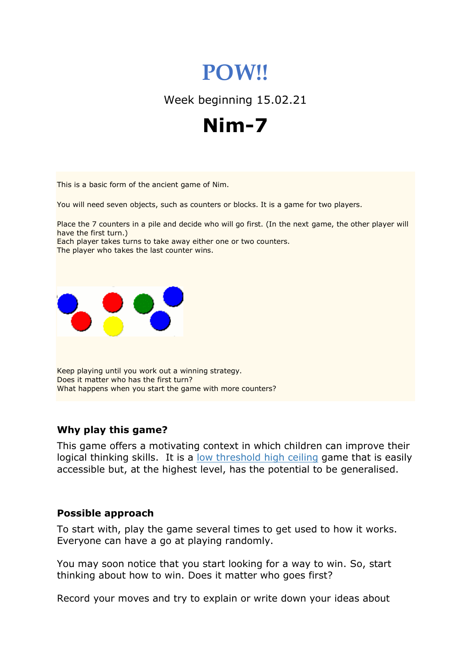# **POW!!**

Week beginning 15.02.21



This is a basic form of the ancient game of Nim.

You will need seven objects, such as counters or blocks. It is a game for two players.

Place the 7 counters in a pile and decide who will go first. (In the next game, the other player will have the first turn.)

Each player takes turns to take away either one or two counters. The player who takes the last counter wins.



Keep playing until you work out a winning strategy. Does it matter who has the first turn? What happens when you start the game with more counters?

## **Why play this game?**

This game offers a motivating context in which children can improve their logical thinking skills. It is a low threshold high ceiling game that is easily accessible but, at the highest level, has the potential to be generalised.

#### **Possible approach**

To start with, play the game several times to get used to how it works. Everyone can have a go at playing randomly.

You may soon notice that you start looking for a way to win. So, start thinking about how to win. Does it matter who goes first?

Record your moves and try to explain or write down your ideas about